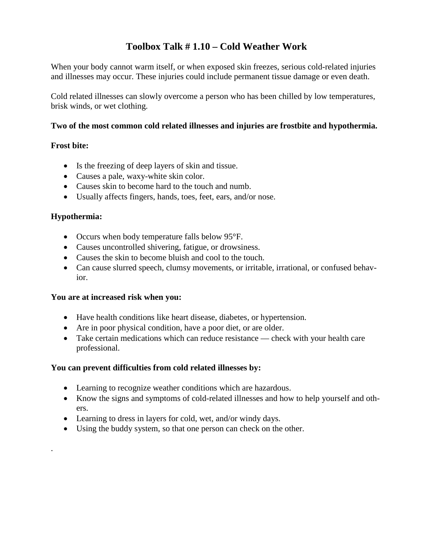### **Toolbox Talk # 1.10 – Cold Weather Work**

When your body cannot warm itself, or when exposed skin freezes, serious cold-related injuries and illnesses may occur. These injuries could include permanent tissue damage or even death.

Cold related illnesses can slowly overcome a person who has been chilled by low temperatures, brisk winds, or wet clothing.

#### **Two of the most common cold related illnesses and injuries are frostbite and hypothermia.**

#### **Frost bite:**

- Is the freezing of deep layers of skin and tissue.
- Causes a pale, waxy-white skin color.
- Causes skin to become hard to the touch and numb.
- Usually affects fingers, hands, toes, feet, ears, and/or nose.

#### **Hypothermia:**

.

- Occurs when body temperature falls below 95°F.
- Causes uncontrolled shivering, fatigue, or drowsiness.
- Causes the skin to become bluish and cool to the touch.
- Can cause slurred speech, clumsy movements, or irritable, irrational, or confused behavior.

#### **You are at increased risk when you:**

- Have health conditions like heart disease, diabetes, or hypertension.
- Are in poor physical condition, have a poor diet, or are older.
- Take certain medications which can reduce resistance check with your health care professional.

#### **You can prevent difficulties from cold related illnesses by:**

- Learning to recognize weather conditions which are hazardous.
- Know the signs and symptoms of cold-related illnesses and how to help yourself and others.
- Learning to dress in layers for cold, wet, and/or windy days.
- Using the buddy system, so that one person can check on the other.